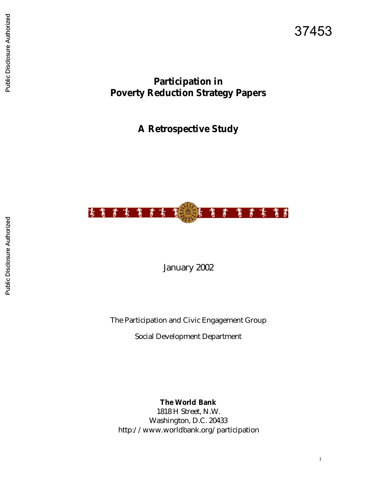# **Participation in Poverty Reduction Strategy Papers**

**A Retrospective Study** 



January 2002

The Participation and Civic Engagement Group

Social Development Department

**The World Bank** 1818 H Street, N.W. Washington, D.C. 20433 http://www.worldbank.org/participation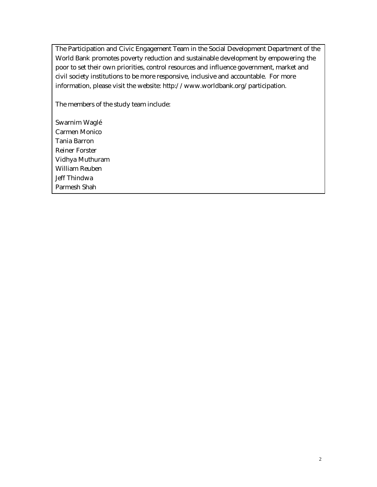The Participation and Civic Engagement Team in the Social Development Department of the World Bank promotes poverty reduction and sustainable development by empowering the poor to set their own priorities, control resources and influence government, market and civil society institutions to be more responsive, inclusive and accountable. For more information, please visit the website: http://www.worldbank.org/participation.

The members of the study team include:

Swarnim Waglé Carmen Monico Tania Barron Reiner Forster Vidhya Muthuram William Reuben Jeff Thindwa Parmesh Shah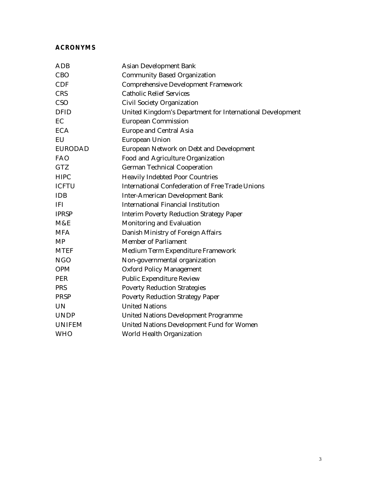#### **ACRONYMS**

| ADB            | <b>Asian Development Bank</b>                             |
|----------------|-----------------------------------------------------------|
| <b>CBO</b>     | <b>Community Based Organization</b>                       |
| <b>CDF</b>     | <b>Comprehensive Development Framework</b>                |
| <b>CRS</b>     | <b>Catholic Relief Services</b>                           |
| CSO            | Civil Society Organization                                |
| <b>DFID</b>    | United Kingdom's Department for International Development |
| EC             | <b>European Commission</b>                                |
| <b>ECA</b>     | <b>Europe and Central Asia</b>                            |
| EU             | <b>European Union</b>                                     |
| <b>EURODAD</b> | European Network on Debt and Development                  |
| <b>FAO</b>     | Food and Agriculture Organization                         |
| <b>GTZ</b>     | <b>German Technical Cooperation</b>                       |
| <b>HIPC</b>    | <b>Heavily Indebted Poor Countries</b>                    |
| <b>ICFTU</b>   | <b>International Confederation of Free Trade Unions</b>   |
| <b>IDB</b>     | <b>Inter-American Development Bank</b>                    |
| <b>IFI</b>     | <b>International Financial Institution</b>                |
| <b>IPRSP</b>   | <b>Interim Poverty Reduction Strategy Paper</b>           |
| M&E            | Monitoring and Evaluation                                 |
| <b>MFA</b>     | Danish Ministry of Foreign Affairs                        |
| <b>MP</b>      | <b>Member of Parliament</b>                               |
| <b>MTEF</b>    | Medium Term Expenditure Framework                         |
| <b>NGO</b>     | Non-governmental organization                             |
| <b>OPM</b>     | <b>Oxford Policy Management</b>                           |
| <b>PER</b>     | <b>Public Expenditure Review</b>                          |
| <b>PRS</b>     | <b>Poverty Reduction Strategies</b>                       |
| <b>PRSP</b>    | <b>Poverty Reduction Strategy Paper</b>                   |
| <b>UN</b>      | <b>United Nations</b>                                     |
| <b>UNDP</b>    | <b>United Nations Development Programme</b>               |
| <b>UNIFEM</b>  | United Nations Development Fund for Women                 |
| <b>WHO</b>     | World Health Organization                                 |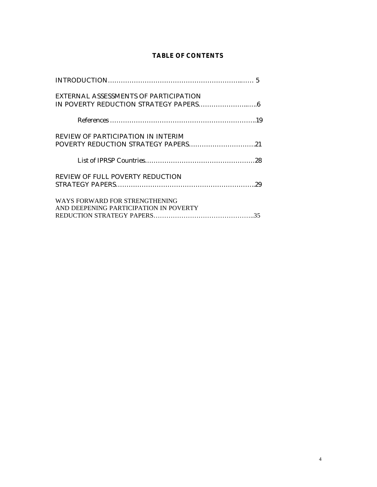### **TABLE OF CONTENTS**

| EXTERNAL ASSESSMENTS OF PARTICIPATION                                     |
|---------------------------------------------------------------------------|
|                                                                           |
| REVIEW OF PARTICIPATION IN INTERIM<br>POVERTY REDUCTION STRATEGY PAPERS21 |
|                                                                           |
| <b>REVIEW OF FULL POVERTY REDUCTION</b>                                   |
| WAYS FORWARD FOR STRENGTHENING<br>AND DEEPENING PARTICIPATION IN POVERTY  |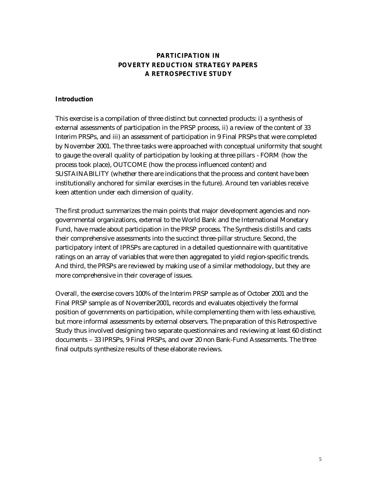### **PARTICIPATION IN POVERTY REDUCTION STRATEGY PAPERS A RETROSPECTIVE STUDY**

#### **Introduction**

This exercise is a compilation of three distinct but connected products: i) a synthesis of external assessments of participation in the PRSP process, ii) a review of the content of 33 Interim PRSPs, and iii) an assessment of participation in 9 Final PRSPs that were completed by November 2001. The three tasks were approached with conceptual uniformity that sought to gauge the overall quality of participation by looking at three pillars - FORM (how the process took place), OUTCOME (how the process influenced content) and SUSTAINABILITY (whether there are indications that the process and content have been institutionally anchored for similar exercises in the future). Around ten variables receive keen attention under each dimension of quality.

The first product summarizes the main points that major development agencies and nongovernmental organizations, external to the World Bank and the International Monetary Fund, have made about participation in the PRSP process. The Synthesis distills and casts their comprehensive assessments into the succinct three-pillar structure. Second, the participatory intent of IPRSPs are captured in a detailed questionnaire with quantitative ratings on an array of variables that were then aggregated to yield region-specific trends. And third, the PRSPs are reviewed by making use of a similar methodology, but they are more comprehensive in their coverage of issues.

Overall, the exercise covers 100% of the Interim PRSP sample as of October 2001 and the Final PRSP sample as of November2001, records and evaluates objectively the formal position of governments on participation, while complementing them with less exhaustive, but more informal assessments by external observers. The preparation of this Retrospective Study thus involved designing two separate questionnaires and reviewing at least 60 distinct documents – 33 IPRSPs, 9 Final PRSPs, and over 20 non Bank-Fund Assessments. The three final outputs synthesize results of these elaborate reviews.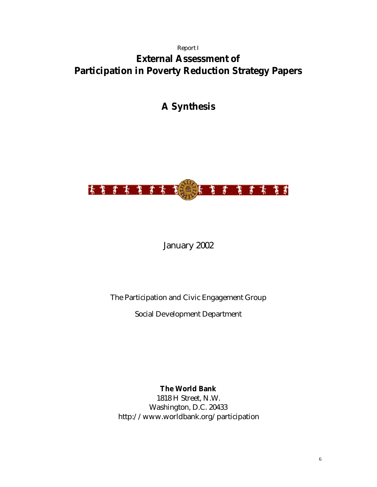#### Report I

# **External Assessment of Participation in Poverty Reduction Strategy Papers**

# **A Synthesis**



### January 2002

### The Participation and Civic Engagement Group

Social Development Department

**The World Bank** 1818 H Street, N.W. Washington, D.C. 20433 http://www.worldbank.org/participation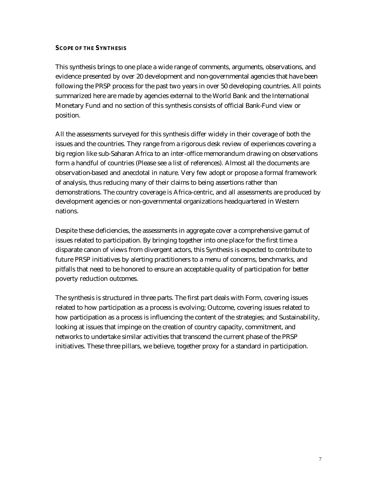#### **SCOPE OF THE SYNTHESIS**

This synthesis brings to one place a wide range of comments, arguments, observations, and evidence presented by over 20 development and non-governmental agencies that have been following the PRSP process for the past two years in over 50 developing countries. All points summarized here are made by agencies external to the World Bank and the International Monetary Fund and no section of this synthesis consists of official Bank-Fund view or position.

All the assessments surveyed for this synthesis differ widely in their coverage of both the issues and the countries. They range from a rigorous desk review of experiences covering a big region like sub-Saharan Africa to an inter-office memorandum drawing on observations form a handful of countries (Please see a list of references). Almost all the documents are observation-based and anecdotal in nature. Very few adopt or propose a formal framework of analysis, thus reducing many of their claims to being assertions rather than demonstrations. The country coverage is Africa-centric, and all assessments are produced by development agencies or non-governmental organizations headquartered in Western nations.

Despite these deficiencies, the assessments in aggregate cover a comprehensive gamut of issues related to participation. By bringing together into one place for the first time a disparate canon of views from divergent actors, this Synthesis is expected to contribute to future PRSP initiatives by alerting practitioners to a menu of concerns, benchmarks, and pitfalls that need to be honored to ensure an acceptable quality of participation for better poverty reduction outcomes.

The synthesis is structured in three parts. The first part deals with Form, covering issues related to how participation as a process is evolving; Outcome, covering issues related to how participation as a process is influencing the content of the strategies; and Sustainability, looking at issues that impinge on the creation of country capacity, commitment, and networks to undertake similar activities that transcend the current phase of the PRSP initiatives. These three pillars, we believe, together proxy for a standard in participation.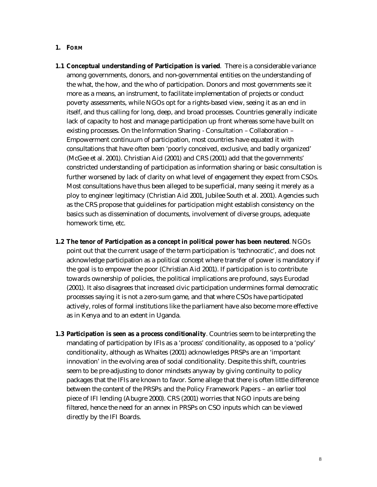#### **1. FORM**

- **1.1 Conceptual understanding of Participation is varied**. There is a considerable variance among governments, donors, and non-governmental entities on the understanding of the what, the how, and the who of participation. Donors and most governments see it more as a means, an instrument, to facilitate implementation of projects or conduct poverty assessments, while NGOs opt for a rights-based view, seeing it as an end in itself, and thus calling for long, deep, and broad processes. Countries generally indicate lack of capacity to host and manage participation up front whereas some have built on existing processes. On the Information Sharing - Consultation – Collaboration – Empowerment continuum of participation, most countries have equated it with consultations that have often been 'poorly conceived, exclusive, and badly organized' (McGee et al. 2001). Christian Aid (2001) and CRS (2001) add that the governments' constricted understanding of participation as information sharing or basic consultation is further worsened by lack of clarity on what level of engagement they expect from CSOs. Most consultations have thus been alleged to be superficial, many seeing it merely as a ploy to engineer legitimacy (Christian Aid 2001, Jubilee South et al. 2001). Agencies such as the CRS propose that guidelines for participation might establish consistency on the basics such as dissemination of documents, involvement of diverse groups, adequate homework time, etc.
- **1.2 The tenor of Participation as a concept in political power has been neutered**. NGOs point out that the current usage of the term participation is 'technocratic', and does not acknowledge participation as a political concept where transfer of power is mandatory if the goal is to empower the poor (Christian Aid 2001). If participation is to contribute towards ownership of policies, the political implications are profound, says Eurodad (2001). It also disagrees that increased civic participation undermines formal democratic processes saying it is not a zero-sum game, and that where CSOs have participated actively, roles of formal institutions like the parliament have also become more effective as in Kenya and to an extent in Uganda.
- **1.3 Participation is seen as a process conditionality**. Countries seem to be interpreting the mandating of participation by IFIs as a 'process' conditionality, as opposed to a 'policy' conditionality, although as Whaites (2001) acknowledges PRSPs are an 'important innovation' in the evolving area of social conditionality. Despite this shift, countries seem to be pre-adjusting to donor mindsets anyway by giving continuity to policy packages that the IFIs are known to favor. Some allege that there is often little difference between the content of the PRSPs and the Policy Framework Papers – an earlier tool piece of IFI lending (Abugre 2000). CRS (2001) worries that NGO inputs are being filtered, hence the need for an annex in PRSPs on CSO inputs which can be viewed directly by the IFI Boards.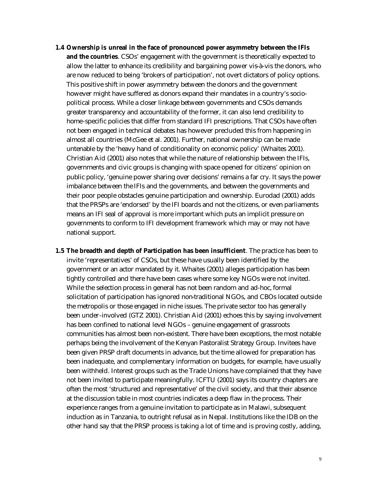- **1.4 Ownership is unreal in the face of pronounced power asymmetry between the IFIs and the countries**. CSOs' engagement with the government is theoretically expected to allow the latter to enhance its credibility and bargaining power vis-à-vis the donors, who are now reduced to being 'brokers of participation', not overt dictators of policy options. This positive shift in power asymmetry between the donors and the government however might have suffered as donors expand their mandates in a country's sociopolitical process. While a closer linkage between governments and CSOs demands greater transparency and accountability of the former, it can also lend credibility to home-specific policies that differ from standard IFI prescriptions. That CSOs have often not been engaged in technical debates has however precluded this from happening in almost all countries (McGee et al. 2001). Further, national ownership can be made untenable by the 'heavy hand of conditionality on economic policy' (Whaites 2001). Christian Aid (2001) also notes that while the nature of relationship between the IFIs, governments and civic groups is changing with space opened for citizens' opinion on public policy, 'genuine power sharing over decisions' remains a far cry. It says the power imbalance between the IFIs and the governments, and between the governments and their poor people obstacles genuine participation and ownership. Eurodad (2001) adds that the PRSPs are 'endorsed' by the IFI boards and not the citizens, or even parliaments means an IFI seal of approval is more important which puts an implicit pressure on governments to conform to IFI development framework which may or may not have national support.
- **1.5 The breadth and depth of Participation has been insufficient**. The practice has been to invite 'representatives' of CSOs, but these have usually been identified by the government or an actor mandated by it. Whaites (2001) alleges participation has been tightly controlled and there have been cases where some key NGOs were not invited. While the selection process in general has not been random and ad-hoc, formal solicitation of participation has ignored non-traditional NGOs, and CBOs located outside the metropolis or those engaged in niche issues. The private sector too has generally been under-involved (GTZ 2001). Christian Aid (2001) echoes this by saying involvement has been confined to national level NGOs – genuine engagement of grassroots communities has almost been non-existent. There have been exceptions, the most notable perhaps being the involvement of the Kenyan Pastoralist Strategy Group. Invitees have been given PRSP draft documents in advance, but the time allowed for preparation has been inadequate, and complementary information on budgets, for example, have usually been withheld. Interest groups such as the Trade Unions have complained that they have not been invited to participate meaningfully. ICFTU (2001) says its country chapters are often the most 'structured and representative' of the civil society, and that their absence at the discussion table in most countries indicates a deep flaw in the process. Their experience ranges from a genuine invitation to participate as in Malawi, subsequent induction as in Tanzania, to outright refusal as in Nepal. Institutions like the IDB on the other hand say that the PRSP process is taking a lot of time and is proving costly, adding,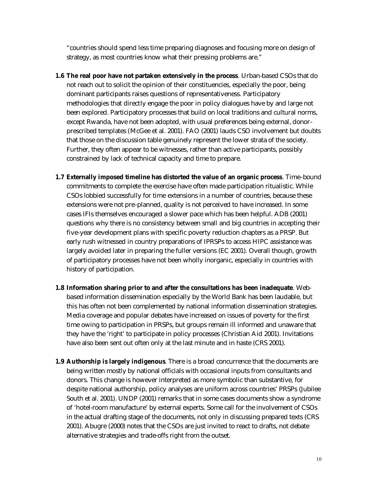"countries should spend less time preparing diagnoses and focusing more on design of strategy, as most countries know what their pressing problems are."

- **1.6 The real poor have not partaken extensively in the process**. Urban-based CSOs that do not reach out to solicit the opinion of their constituencies, especially the poor, being dominant participants raises questions of representativeness. Participatory methodologies that directly engage the poor in policy dialogues have by and large not been explored. Participatory processes that build on local traditions and cultural norms, except Rwanda, have not been adopted, with usual preferences being external, donorprescribed templates (McGee et al. 2001). FAO (2001) lauds CSO involvement but doubts that those on the discussion table genuinely represent the lower strata of the society. Further, they often appear to be witnesses, rather than active participants, possibly constrained by lack of technical capacity and time to prepare.
- **1.7 Externally imposed timeline has distorted the value of an organic process**. Time-bound commitments to complete the exercise have often made participation ritualistic. While CSOs lobbied successfully for time extensions in a number of countries, because these extensions were not pre-planned, quality is not perceived to have increased. In some cases IFIs themselves encouraged a slower pace which has been helpful. ADB (2001) questions why there is no consistency between small and big countries in accepting their five-year development plans with specific poverty reduction chapters as a PRSP. But early rush witnessed in country preparations of IPRSPs to access HIPC assistance was largely avoided later in preparing the fuller versions (EC 2001). Overall though, growth of participatory processes have not been wholly inorganic, especially in countries with history of participation.
- **1.8 Information sharing prior to and after the consultations has been inadequate**. Webbased information dissemination especially by the World Bank has been laudable, but this has often not been complemented by national information dissemination strategies. Media coverage and popular debates have increased on issues of poverty for the first time owing to participation in PRSPs, but groups remain ill informed and unaware that they have the 'right' to participate in policy processes (Christian Aid 2001). Invitations have also been sent out often only at the last minute and in haste (CRS 2001).
- **1.9 Authorship is largely indigenous**. There is a broad concurrence that the documents are being written mostly by national officials with occasional inputs from consultants and donors. This change is however interpreted as more symbolic than substantive, for despite national authorship, policy analyses are uniform across countries' PRSPs (Jubilee South et al. 2001). UNDP (2001) remarks that in some cases documents show a syndrome of 'hotel-room manufacture' by external experts. Some call for the involvement of CSOs in the actual drafting stage of the documents, not only in discussing prepared texts (CRS 2001). Abugre (2000) notes that the CSOs are just invited to react to drafts, not debate alternative strategies and trade-offs right from the outset.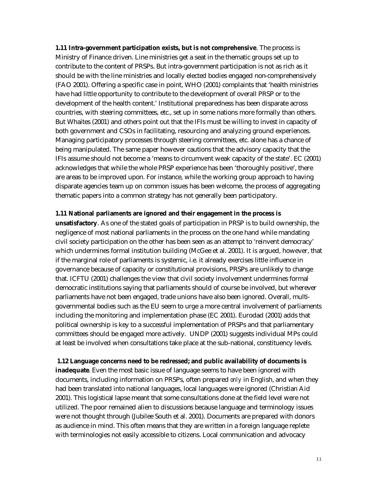**1.11 Intra-government participation exists, but is not comprehensive**. The process is Ministry of Finance driven. Line ministries get a seat in the thematic groups set up to contribute to the content of PRSPs. But intra-government participation is not as rich as it should be with the line ministries and locally elected bodies engaged non-comprehensively (FAO 2001). Offering a specific case in point, WHO (2001) complaints that 'health ministries have had little opportunity to contribute to the development of overall PRSP or to the development of the health content.' Institutional preparedness has been disparate across countries, with steering committees, etc., set up in some nations more formally than others. But Whaites (2001) and others point out that the IFIs must be willing to invest in capacity of both government and CSOs in facilitating, resourcing and analyzing ground experiences. Managing participatory processes through steering committees, etc. alone has a chance of being manipulated. The same paper however cautions that the advisory capacity that the IFIs assume should not become a 'means to circumvent weak capacity of the state'. EC (2001) acknowledges that while the whole PRSP experience has been 'thoroughly positive', there are areas to be improved upon. For instance, while the working group approach to having disparate agencies team up on common issues has been welcome, the process of aggregating thematic papers into a common strategy has not generally been participatory.

#### **1.11 National parliaments are ignored and their engagement in the process is**

**unsatisfactory**. As one of the stated goals of participation in PRSP is to build ownership, the negligence of most national parliaments in the process on the one hand while mandating civil society participation on the other has been seen as an attempt to 'reinvent democracy' which undermines formal institution building (McGee et al. 2001). It is argued, however, that if the marginal role of parliaments is systemic, i.e. it already exercises little influence in governance because of capacity or constitutional provisions, PRSPs are unlikely to change that. ICFTU (2001) challenges the view that civil society involvement undermines formal democratic institutions saying that parliaments should of course be involved, but wherever parliaments have not been engaged, trade unions have also been ignored. Overall, multigovernmental bodies such as the EU seem to urge a more central involvement of parliaments including the monitoring and implementation phase (EC 2001). Eurodad (2001) adds that political ownership is key to a successful implementation of PRSPs and that parliamentary committees should be engaged more actively. UNDP (2001) suggests individual MPs could at least be involved when consultations take place at the sub-national, constituency levels.

#### **1.12 Language concerns need to be redressed; and public availability of documents is**

**inadequate**. Even the most basic issue of language seems to have been ignored with documents, including information on PRSPs, often prepared *only* in English, and when they had been translated into national languages, local languages were ignored (Christian Aid 2001). This logistical lapse meant that some consultations done at the field level were not utilized. The poor remained alien to discussions because language and terminology issues were not thought through (Jubilee South et al. 2001). Documents are prepared with donors as audience in mind. This often means that they are written in a foreign language replete with terminologies not easily accessible to citizens. Local communication and advocacy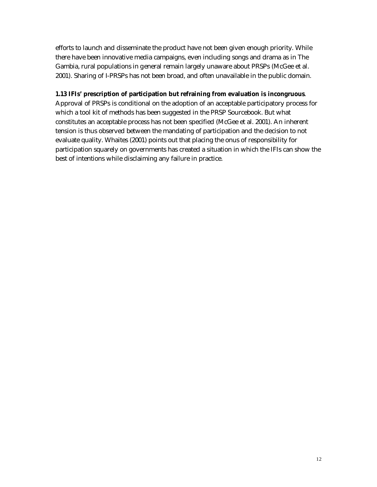efforts to launch and disseminate the product have not been given enough priority. While there have been innovative media campaigns, even including songs and drama as in The Gambia, rural populations in general remain largely unaware about PRSPs (McGee et al. 2001). Sharing of I-PRSPs has not been broad, and often unavailable in the public domain.

#### **1.13 IFIs' prescription of participation but refraining from evaluation is incongruous**.

Approval of PRSPs is conditional on the adoption of an acceptable participatory process for which a tool kit of methods has been suggested in the PRSP Sourcebook. But what constitutes an acceptable process has not been specified (McGee et al. 2001). An inherent tension is thus observed between the mandating of participation and the decision to not evaluate quality. Whaites (2001) points out that placing the onus of responsibility for participation squarely on governments has created a situation in which the IFIs can show the best of intentions while disclaiming any failure in practice.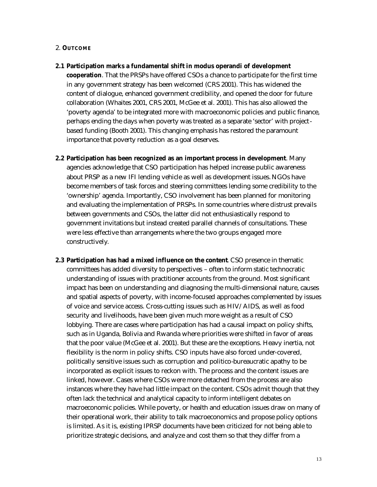#### 2. **OUTCOME**

**2.1 Participation marks a fundamental shift in modus operandi of development** 

**cooperation**. That the PRSPs have offered CSOs a chance to participate for the first time in any government strategy has been welcomed (CRS 2001). This has widened the content of dialogue, enhanced government credibility, and opened the door for future collaboration (Whaites 2001, CRS 2001, McGee et al. 2001). This has also allowed the 'poverty agenda' to be integrated more with macroeconomic policies and public finance, perhaps ending the days when poverty was treated as a separate 'sector' with projectbased funding (Booth 2001). This changing emphasis has restored the paramount importance that poverty reduction as a goal deserves.

- **2.2 Participation has been recognized as an important process in development**. Many agencies acknowledge that CSO participation has helped increase public awareness about PRSP as a new IFI lending vehicle as well as development issues. NGOs have become members of task forces and steering committees lending some credibility to the 'ownership' agenda. Importantly, CSO involvement has been planned for monitoring and evaluating the implementation of PRSPs. In some countries where distrust prevails between governments and CSOs, the latter did not enthusiastically respond to government invitations but instead created parallel channels of consultations. These were less effective than arrangements where the two groups engaged more constructively.
- **2.3 Participation has had a mixed influence on the content**. CSO presence in thematic committees has added diversity to perspectives – often to inform static technocratic understanding of issues with practitioner accounts from the ground. Most significant impact has been on understanding and diagnosing the multi-dimensional nature, causes and spatial aspects of poverty, with income-focused approaches complemented by issues of voice and service access. Cross-cutting issues such as HIV/AIDS, as well as food security and livelihoods, have been given much more weight as a result of CSO lobbying. There are cases where participation has had a causal impact on policy shifts, such as in Uganda, Bolivia and Rwanda where priorities were shifted in favor of areas that the poor value (McGee et al. 2001). But these are the exceptions. Heavy inertia, not flexibility is the norm in policy shifts. CSO inputs have also forced under-covered, politically sensitive issues such as corruption and politico-bureaucratic apathy to be incorporated as explicit issues to reckon with. The process and the content issues are linked, however. Cases where CSOs were more detached from the process are also instances where they have had little impact on the content. CSOs admit though that they often lack the technical and analytical capacity to inform intelligent debates on macroeconomic policies. While poverty, or health and education issues draw on many of their operational work, their ability to talk macroeconomics and propose policy options is limited. As it is, existing IPRSP documents have been criticized for not being able to prioritize strategic decisions, and analyze and cost them so that they differ from a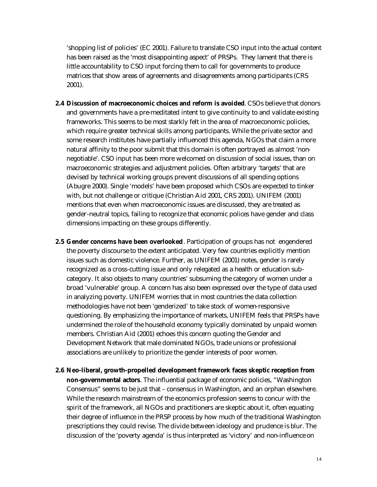'shopping list of policies' (EC 2001). Failure to translate CSO input into the actual content has been raised as the 'most disappointing aspect' of PRSPs. They lament that there is little accountability to CSO input forcing them to call for governments to produce matrices that show areas of agreements and disagreements among participants (CRS 2001).

- **2.4 Discussion of macroeconomic choices and reform is avoided**. CSOs believe that donors and governments have a pre-meditated intent to give continuity to and validate existing frameworks. This seems to be most starkly felt in the area of macroeconomic policies, which require greater technical skills among participants. While the private sector and some research institutes have partially influenced this agenda, NGOs that claim a more natural affinity to the poor submit that this domain is often portrayed as almost 'nonnegotiable'. CSO input has been more welcomed on discussion of social issues, than on macroeconomic strategies and adjustment policies. Often arbitrary 'targets' that are devised by technical working groups prevent discussions of all spending options (Abugre 2000). Single 'models' have been proposed which CSOs are expected to tinker with, but not challenge or critique (Christian Aid 2001, CRS 2001). UNIFEM (2001) mentions that even when macroeconomic issues are discussed, they are treated as gender-neutral topics, failing to recognize that economic polices have gender and class dimensions impacting on these groups differently.
- **2.5 Gender concerns have been overlooked**. Participation of groups has not engendered the poverty discourse to the extent anticipated. Very few countries explicitly mention issues such as domestic violence. Further, as UNIFEM (2001) notes, gender is rarely recognized as a cross-cutting issue and only relegated as a health or education subcategory. It also objects to many countries' subsuming the category of women under a broad 'vulnerable' group. A concern has also been expressed over the type of data used in analyzing poverty. UNIFEM worries that in most countries the data collection methodologies have not been 'genderized' to take stock of women-responsive questioning. By emphasizing the importance of markets, UNIFEM feels that PRSPs have undermined the role of the household economy typically dominated by unpaid women members. Christian Aid (2001) echoes this concern quoting the Gender and Development Network that male dominated NGOs, trade unions or professional associations are unlikely to prioritize the gender interests of poor women.
- **2.6 Neo-liberal, growth-propelled development framework faces skeptic reception from non-governmental actors**. The influential package of economic policies, "Washington Consensus" seems to be just that – consensus in Washington, and an orphan elsewhere. While the research mainstream of the economics profession seems to concur with the spirit of the framework, all NGOs and practitioners are skeptic about it, often equating their degree of influence in the PRSP process by how much of the traditional Washington prescriptions they could revise. The divide between ideology and prudence is blur. The discussion of the 'poverty agenda' is thus interpreted as 'victory' and non-influence on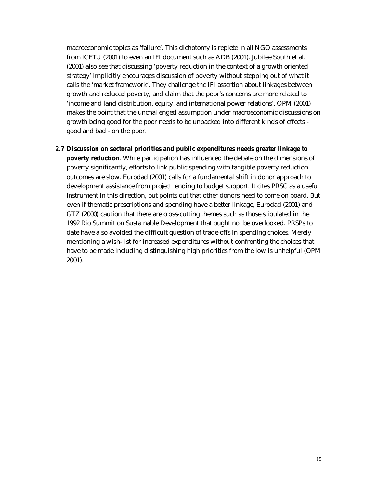macroeconomic topics as 'failure'. This dichotomy is replete in *all* NGO assessments from ICFTU (2001) to even an IFI document such as ADB (2001). Jubilee South et al. (2001) also see that discussing 'poverty reduction in the context of a growth oriented strategy' implicitly encourages discussion of poverty without stepping out of what it calls the 'market framework'. They challenge the IFI assertion about linkages between growth and reduced poverty, and claim that the poor's concerns are more related to 'income and land distribution, equity, and international power relations'. OPM (2001) makes the point that the unchallenged assumption under macroeconomic discussions on growth being good for the poor needs to be unpacked into different kinds of effects good and bad - on the poor.

**2.7 Discussion on sectoral priorities and public expenditures needs greater linkage to poverty reduction**. While participation has influenced the debate on the dimensions of poverty significantly, efforts to link public spending with tangible poverty reduction outcomes are slow. Eurodad (2001) calls for a fundamental shift in donor approach to development assistance from project lending to budget support. It cites PRSC as a useful instrument in this direction, but points out that other donors need to come on board. But even if thematic prescriptions and spending have a better linkage, Eurodad (2001) and GTZ (2000) caution that there are cross-cutting themes such as those stipulated in the 1992 Rio Summit on Sustainable Development that ought not be overlooked. PRSPs to date have also avoided the difficult question of trade-offs in spending choices. Merely mentioning a wish-list for increased expenditures without confronting the choices that have to be made including distinguishing high priorities from the low is unhelpful (OPM 2001).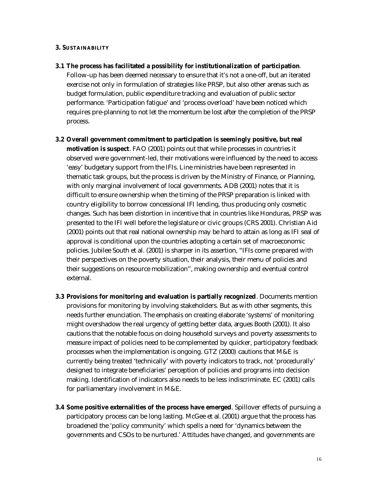#### **3. SUSTAINABILITY**

**3.1 The process has facilitated a possibility for institutionalization of participation**.

Follow-up has been deemed necessary to ensure that it's not a one-off, but an iterated exercise not only in formulation of strategies like PRSP, but also other arenas such as budget formulation, public expenditure tracking and evaluation of public sector performance. 'Participation fatigue' and 'process overload' have been noticed which requires pre-planning to not let the momentum be lost after the completion of the PRSP process.

- **3.2 Overall government commitment to participation is seemingly positive, but real motivation is suspect**. FAO (2001) points out that while processes in countries it observed were government-led, their motivations were influenced by the need to access 'easy' budgetary support from the IFIs. Line ministries have been represented in thematic task groups, but the process is driven by the Ministry of Finance, or Planning, with only marginal involvement of local governments. ADB (2001) notes that it is difficult to ensure ownership when the timing of the PRSP preparation is linked with country eligibility to borrow concessional IFI lending, thus producing only cosmetic changes. Such has been distortion in incentive that in countries like Honduras, PRSP was presented to the IFI well before the legislature or civic groups (CRS 2001). Christian Aid (2001) points out that real national ownership may be hard to attain as long as IFI seal of approval is conditional upon the countries adopting a certain set of macroeconomic policies. Jubilee South et al. (2001) is sharper in its assertion, "IFIs come prepared with their perspectives on the poverty situation, their analysis, their menu of policies and their suggestions on resource mobilization", making ownership and eventual control external.
- **3.3 Provisions for monitoring and evaluation is partially recognized**. Documents mention provisions for monitoring by involving stakeholders. But as with other segments, this needs further enunciation. The emphasis on creating elaborate 'systems' of monitoring might overshadow the real urgency of getting better data, argues Booth (2001). It also cautions that the notable focus on doing household surveys and poverty assessments to measure impact of policies need to be complemented by quicker, participatory feedback processes when the implementation is ongoing. GTZ (2000) cautions that M&E is currently being treated 'technically' with poverty indicators to track, not 'procedurally' designed to integrate beneficiaries' perception of policies and programs into decision making. Identification of indicators also needs to be less indiscriminate. EC (2001) calls for parliamentary involvement in M&E.
- **3.4 Some positive externalities of the process have emerged**. Spillover effects of pursuing a participatory process can be long lasting. McGee et al. (2001) argue that the process has broadened the 'policy community' which spells a need for 'dynamics between the governments and CSOs to be nurtured.' Attitudes have changed, and governments are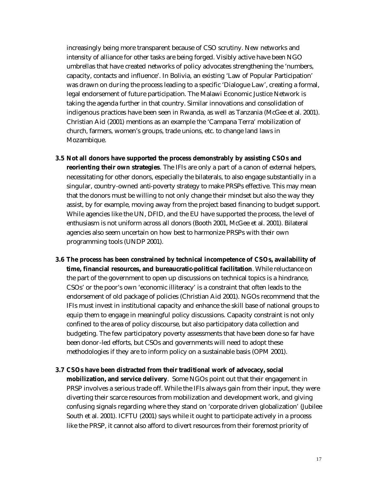increasingly being more transparent because of CSO scrutiny. New networks and intensity of alliance for other tasks are being forged. Visibly active have been NGO umbrellas that have created networks of policy advocates strengthening the 'numbers, capacity, contacts and influence'. In Bolivia, an existing 'Law of Popular Participation' was drawn on during the process leading to a specific 'Dialogue Law', creating a formal, legal endorsement of future participation. The Malawi Economic Justice Network is taking the agenda further in that country. Similar innovations and consolidation of indigenous practices have been seen in Rwanda, as well as Tanzania (McGee et al. 2001). Christian Aid (2001) mentions as an example the 'Campana Terra' mobilization of church, farmers, women's groups, trade unions, etc. to change land laws in Mozambique.

- **3.5 Not all donors have supported the process demonstrably by assisting CSOs and reorienting their own strategies**. The IFIs are only a part of a canon of external helpers, necessitating for other donors, especially the bilaterals, to also engage substantially in a singular, country-owned anti-poverty strategy to make PRSPs effective. This may mean that the donors must be willing to not only change their mindset but also the way they assist, by for example, moving away from the project based financing to budget support. While agencies like the UN, DFID, and the EU have supported the process, the level of enthusiasm is not uniform across all donors (Booth 2001, McGee et al. 2001). Bilateral agencies also seem uncertain on how best to harmonize PRSPs with their own programming tools (UNDP 2001).
- **3.6 The process has been constrained by technical incompetence of CSOs, availability of time, financial resources, and bureaucratic-political facilitation**. While reluctance on the part of the government to open up discussions on technical topics is a hindrance, CSOs' or the poor's own 'economic illiteracy' is a constraint that often leads to the endorsement of old package of policies (Christian Aid 2001). NGOs recommend that the IFIs must invest in institutional capacity and enhance the skill base of national groups to equip them to engage in meaningful policy discussions. Capacity constraint is not only confined to the area of policy discourse, but also participatory data collection and budgeting. The few participatory poverty assessments that have been done so far have been donor-led efforts, but CSOs and governments will need to adopt these methodologies if they are to inform policy on a sustainable basis (OPM 2001).
- **3.7 CSOs have been distracted from their traditional work of advocacy, social mobilization, and service delivery**. Some NGOs point out that their engagement in PRSP involves a serious trade off. While the IFIs always gain from their input, they were diverting their scarce resources from mobilization and development work, and giving confusing signals regarding where they stand on 'corporate driven globalization' (Jubilee South et al. 2001). ICFTU (2001) says while it ought to participate actively in a process like the PRSP, it cannot also afford to divert resources from their foremost priority of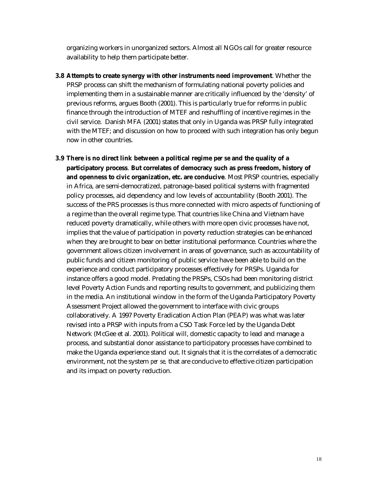organizing workers in unorganized sectors. Almost all NGOs call for greater resource availability to help them participate better.

- **3.8 Attempts to create synergy with other instruments need improvement**. Whether the PRSP process can shift the mechanism of formulating national poverty policies and implementing them in a sustainable manner are critically influenced by the 'density' of previous reforms, argues Booth (2001). This is particularly true for reforms in public finance through the introduction of MTEF and reshuffling of incentive regimes in the civil service. Danish MFA (2001) states that only in Uganda was PRSP fully integrated with the MTEF; and discussion on how to proceed with such integration has only begun now in other countries.
- **3.9 There is no direct link between a political regime** *per se* **and the quality of a participatory process**. **But correlates of democracy such as press freedom, history of and openness to civic organization, etc. are conducive**. Most PRSP countries, especially in Africa, are semi-democratized, patronage-based political systems with fragmented policy processes, aid dependency and low levels of accountability (Booth 2001). The success of the PRS processes is thus more connected with micro aspects of functioning of a regime than the overall regime type. That countries like China and Vietnam have reduced poverty dramatically, while others with more open civic processes have not, implies that the value of participation in poverty reduction strategies can be enhanced when they are brought to bear on better institutional performance. Countries where the government allows citizen involvement in areas of governance, such as accountability of public funds and citizen monitoring of public service have been able to build on the experience and conduct participatory processes effectively for PRSPs. Uganda for instance offers a good model. Predating the PRSPs, CSOs had been monitoring district level Poverty Action Funds and reporting results to government, and publicizing them in the media. An institutional window in the form of the Uganda Participatory Poverty Assessment Project allowed the government to interface with civic groups collaboratively. A 1997 Poverty Eradication Action Plan (PEAP) was what was later revised into a PRSP with inputs from a CSO Task Force led by the Uganda Debt Network (McGee et al. 2001). Political will, domestic capacity to lead and manage a process, and substantial donor assistance to participatory processes have combined to make the Uganda experience stand out. It signals that it is the correlates of a democratic environment, not the system *per se,* that are conducive to effective citizen participation and its impact on poverty reduction.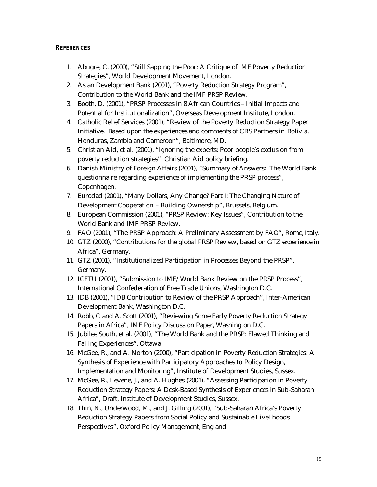#### **REFERENCES**

- 1. Abugre, C. (2000), "Still Sapping the Poor: A Critique of IMF Poverty Reduction Strategies", World Development Movement, London.
- 2. Asian Development Bank (2001), "Poverty Reduction Strategy Program", Contribution to the World Bank and the IMF PRSP Review.
- 3. Booth, D. (2001), "PRSP Processes in 8 African Countries Initial Impacts and Potential for Institutionalization", Overseas Development Institute, London.
- 4. Catholic Relief Services (2001), "Review of the Poverty Reduction Strategy Paper Initiative. Based upon the experiences and comments of CRS Partners in Bolivia, Honduras, Zambia and Cameroon", Baltimore, MD.
- 5. Christian Aid, et al. (2001), "Ignoring the experts: Poor people's exclusion from poverty reduction strategies", Christian Aid policy briefing.
- 6. Danish Ministry of Foreign Affairs (2001), "Summary of Answers: The World Bank questionnaire regarding experience of implementing the PRSP process", Copenhagen.
- 7. Eurodad (2001), "Many Dollars, Any Change? Part I: The Changing Nature of Development Cooperation – Building Ownership", Brussels, Belgium.
- 8. European Commission (2001), "PRSP Review: Key Issues", Contribution to the World Bank and IMF PRSP Review.
- 9. FAO (2001), "The PRSP Approach: A Preliminary Assessment by FAO", Rome, Italy.
- 10. GTZ (2000), "Contributions for the global PRSP Review, based on GTZ experience in Africa", Germany.
- 11. GTZ (2001), "Institutionalized Participation in Processes Beyond the PRSP", Germany.
- 12. ICFTU (2001), "Submission to IMF/World Bank Review on the PRSP Process", International Confederation of Free Trade Unions, Washington D.C.
- 13. IDB (2001), "IDB Contribution to Review of the PRSP Approach", Inter-American Development Bank, Washington D.C.
- 14. Robb, C and A. Scott (2001), "Reviewing Some Early Poverty Reduction Strategy Papers in Africa", IMF Policy Discussion Paper, Washington D.C.
- 15. Jubilee South, et al. (2001), "The World Bank and the PRSP: Flawed Thinking and Failing Experiences", Ottawa.
- 16. McGee, R., and A. Norton (2000), "Participation in Poverty Reduction Strategies: A Synthesis of Experience with Participatory Approaches to Policy Design, Implementation and Monitoring", Institute of Development Studies, Sussex.
- 17. McGee, R., Levene, J., and A. Hughes (2001), "Assessing Participation in Poverty Reduction Strategy Papers: A Desk-Based Synthesis of Experiences in Sub-Saharan Africa", Draft, Institute of Development Studies, Sussex.
- 18. Thin, N., Underwood, M., and J. Gilling (2001), "Sub-Saharan Africa's Poverty Reduction Strategy Papers from Social Policy and Sustainable Livelihoods Perspectives", Oxford Policy Management, England.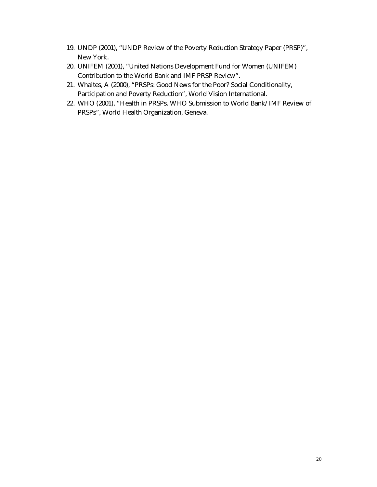- 19. UNDP (2001), "UNDP Review of the Poverty Reduction Strategy Paper (PRSP)", New York.
- 20. UNIFEM (2001), "United Nations Development Fund for Women (UNIFEM) Contribution to the World Bank and IMF PRSP Review".
- 21. Whaites, A (2000), "PRSPs: Good News for the Poor? Social Conditionality, Participation and Poverty Reduction", World Vision International.
- 22. WHO (2001), "Health in PRSPs. WHO Submission to World Bank/IMF Review of PRSPs", World Health Organization, Geneva.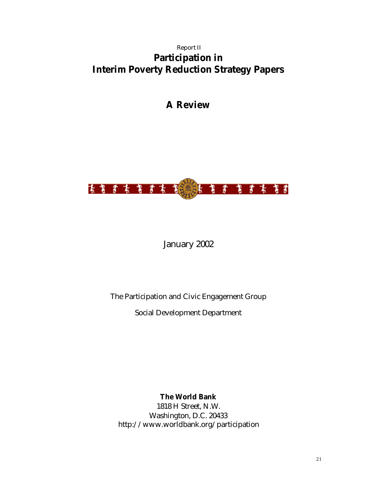## Report II **Participation in Interim Poverty Reduction Strategy Papers**

# **A Review**



## January 2002

## The Participation and Civic Engagement Group

Social Development Department

**The World Bank**

1818 H Street, N.W. Washington, D.C. 20433 http://www.worldbank.org/participation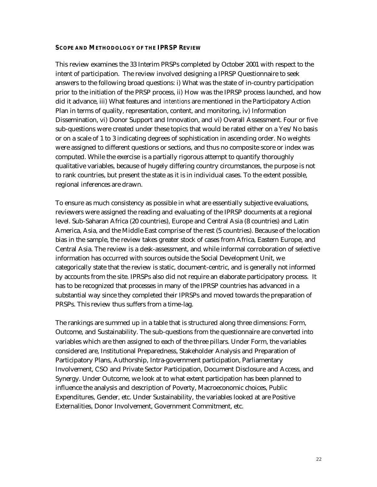#### **SCOPE AND METHODOLOGY OF THE IPRSP REVIEW**

This review examines the 33 Interim PRSPs completed by October 2001 with respect to the intent of participation. The review involved designing a IPRSP Questionnaire to seek answers to the following broad questions: i) What was the state of in-country participation prior to the initiation of the PRSP process, ii) How was the IPRSP process launched, and how did it advance, iii) What features and *intentions* are mentioned in the Participatory Action Plan in terms of quality, representation, content, and monitoring, iv) Information Dissemination, vi) Donor Support and Innovation, and vi) Overall Assessment. Four or five sub-questions were created under these topics that would be rated either on a Yes/No basis or on a scale of 1 to 3 indicating degrees of sophistication in ascending order. No weights were assigned to different questions or sections, and thus no composite score or index was computed. While the exercise is a partially rigorous attempt to quantify thoroughly qualitative variables, because of hugely differing country circumstances, the purpose is not to rank countries, but present the state as it is in individual cases. To the extent possible, regional inferences are drawn.

To ensure as much consistency as possible in what are essentially subjective evaluations, reviewers were assigned the reading and evaluating of the IPRSP documents at a regional level. Sub-Saharan Africa (20 countries), Europe and Central Asia (8 countries) and Latin America, Asia, and the Middle East comprise of the rest (5 countries). Because of the location bias in the sample, the review takes greater stock of cases from Africa, Eastern Europe, and Central Asia. The review is a desk-assessment, and while informal corroboration of selective information has occurred with sources outside the Social Development Unit, we categorically state that the review is static, document-centric, and is generally not informed by accounts from the site. IPRSPs also did not require an elaborate participatory process. It has to be recognized that processes in many of the IPRSP countries has advanced in a substantial way since they completed their IPRSPs and moved towards the preparation of PRSPs. This review thus suffers from a time-lag.

The rankings are summed up in a table that is structured along three dimensions: Form, Outcome, and Sustainability. The sub-questions from the questionnaire are converted into variables which are then assigned to each of the three pillars. Under Form, the variables considered are, Institutional Preparedness, Stakeholder Analysis and Preparation of Participatory Plans, Authorship, Intra-government participation, Parliamentary Involvement, CSO and Private Sector Participation, Document Disclosure and Access, and Synergy. Under Outcome, we look at to what extent participation has been planned to influence the analysis and description of Poverty, Macroeconomic choices, Public Expenditures, Gender, etc. Under Sustainability, the variables looked at are Positive Externalities, Donor Involvement, Government Commitment, etc.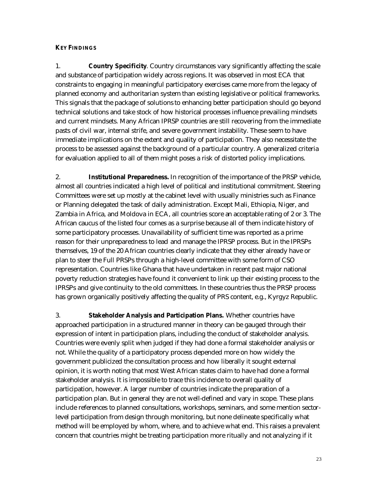#### **KEY FINDINGS**

1. **Country Specificity**. Country circumstances vary significantly affecting the scale and substance of participation widely across regions. It was observed in most ECA that constraints to engaging in meaningful participatory exercises came more from the legacy of planned economy and authoritarian system than existing legislative or political frameworks. This signals that the package of solutions to enhancing better participation should go beyond technical solutions and take stock of how historical processes influence prevailing mindsets and current mindsets. Many African IPRSP countries are still recovering from the immediate pasts of civil war, internal strife, and severe government instability. These seem to have immediate implications on the extent and quality of participation. They also necessitate the process to be assessed against the background of a particular country. A generalized criteria for evaluation applied to all of them might poses a risk of distorted policy implications.

2. **Institutional Preparedness.** In recognition of the importance of the PRSP vehicle, almost all countries indicated a high level of political and institutional commitment. Steering Committees were set up mostly at the cabinet level with usually ministries such as Finance or Planning delegated the task of daily administration. Except Mali, Ethiopia, Niger, and Zambia in Africa, and Moldova in ECA, all countries score an acceptable rating of 2 or 3. The African caucus of the listed four comes as a surprise because all of them indicate history of some participatory processes. Unavailability of sufficient time was reported as a prime reason for their unpreparedness to lead and manage the IPRSP process. But in the IPRSPs themselves, 19 of the 20 African countries clearly indicate that they either already have or plan to steer the Full PRSPs through a high-level committee with some form of CSO representation. Countries like Ghana that have undertaken in recent past major national poverty reduction strategies have found it convenient to link up their existing process to the IPRSPs and give continuity to the old committees. In these countries thus the PRSP process has grown organically positively affecting the quality of PRS content, e.g., Kyrgyz Republic.

3. **Stakeholder Analysis and Participation Plans.** Whether countries have approached participation in a structured manner in theory can be gauged through their expression of intent in participation plans, including the conduct of stakeholder analysis. Countries were evenly split when judged if they had done a formal stakeholder analysis or not. While the quality of a participatory process depended more on how widely the government publicized the consultation process and how liberally it sought external opinion, it is worth noting that most West African states claim to have had done a formal stakeholder analysis. It is impossible to trace this incidence to overall quality of participation, however. A larger number of countries indicate the preparation of a participation plan. But in general they are not well-defined and vary in scope. These plans include references to planned consultations, workshops, seminars, and some mention sectorlevel participation from design through monitoring, but none delineate specifically what method will be employed by whom, where, and to achieve what end. This raises a prevalent concern that countries might be treating participation more ritually and not analyzing if it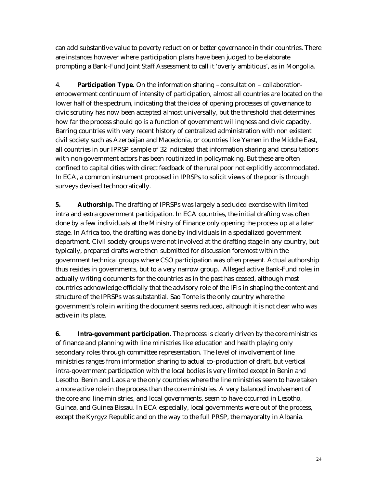can add substantive value to poverty reduction or better governance in their countries. There are instances however where participation plans have been judged to be elaborate prompting a Bank-Fund Joint Staff Assessment to call it 'overly ambitious', as in Mongolia.

4. **Participation Type.** On the information sharing – consultation – collaborationempowerment continuum of intensity of participation, almost all countries are located on the lower half of the spectrum, indicating that the idea of opening processes of governance to civic scrutiny has now been accepted almost universally, but the threshold that determines how far the process should go is a function of government willingness and civic capacity. Barring countries with very recent history of centralized administration with non existent civil society such as Azerbaijan and Macedonia, or countries like Yemen in the Middle East, all countries in our IPRSP sample of 32 indicated that information sharing and consultations with non-government actors has been routinized in policymaking. But these are often confined to capital cities with direct feedback of the rural poor not explicitly accommodated. In ECA, a common instrument proposed in IPRSPs to solicit views of the poor is through surveys devised technocratically.

**5. Authorship.** The drafting of IPRSPs was largely a secluded exercise with limited intra and extra government participation. In ECA countries, the initial drafting was often done by a few individuals at the Ministry of Finance only opening the process up at a later stage. In Africa too, the drafting was done by individuals in a specialized government department. Civil society groups were not involved at the drafting stage in any country, but typically, prepared drafts were then submitted for discussion foremost within the government technical groups where CSO participation was often present. Actual authorship thus resides in governments, but to a very narrow group. Alleged active Bank-Fund roles in actually writing documents for the countries as in the past has ceased, although most countries acknowledge officially that the advisory role of the IFIs in shaping the content and structure of the IPRSPs was substantial. Sao Tome is the only country where the government's role in writing the document seems reduced, although it is not clear who was active in its place.

**6. Intra-government participation.** The process is clearly driven by the core ministries of finance and planning with line ministries like education and health playing only secondary roles through committee representation. The level of involvement of line ministries ranges from information sharing to actual co-production of draft, but vertical intra-government participation with the local bodies is very limited except in Benin and Lesotho. Benin and Laos are the only countries where the line ministries seem to have taken a more active role in the process than the core ministries. A very balanced involvement of the core and line ministries, and local governments, seem to have occurred in Lesotho, Guinea, and Guinea Bissau. In ECA especially, local governments were out of the process, except the Kyrgyz Republic and on the way to the full PRSP, the mayoralty in Albania.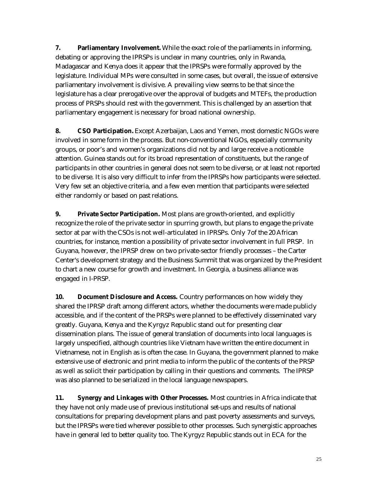**7. Parliamentary Involvement.** While the exact role of the parliaments in informing, debating or approving the IPRSPs is unclear in many countries, only in Rwanda, Madagascar and Kenya does it appear that the IPRSPs were formally approved by the legislature. Individual MPs were consulted in some cases, but overall, the issue of extensive parliamentary involvement is divisive. A prevailing view seems to be that since the legislature has a clear prerogative over the approval of budgets and MTEFs, the production process of PRSPs should rest with the government. This is challenged by an assertion that parliamentary engagement is necessary for broad national ownership.

**8. CSO Participation.** Except Azerbaijan, Laos and Yemen, most domestic NGOs were involved in some form in the process. But non-conventional NGOs, especially community groups, or poor's and women's organizations did not by and large receive a noticeable attention. Guinea stands out for its broad representation of constituents, but the range of participants in other countries in general does not seem to be diverse, or at least not reported to be diverse. It is also very difficult to infer from the IPRSPs how participants were selected. Very few set an objective criteria, and a few even mention that participants were selected either randomly or based on past relations.

**9. Private Sector Participation.** Most plans are growth-oriented, and explicitly recognize the role of the private sector in spurring growth, but plans to engage the private sector at par with the CSOs is not well-articulated in IPRSPs. Only 7 of the 20 African countries, for instance, mention a possibility of private sector involvement in full PRSP. In Guyana, however, the IPRSP drew on two private-sector friendly processes – the Carter Center's development strategy and the Business Summit that was organized by the President to chart a new course for growth and investment. In Georgia, a business alliance was engaged in I-PRSP.

**10. Document Disclosure and Access.** Country performances on how widely they shared the IPRSP draft among different actors, whether the documents were made publicly accessible, and if the content of the PRSPs were planned to be effectively disseminated vary greatly. Guyana, Kenya and the Kyrgyz Republic stand out for presenting clear dissemination plans. The issue of general translation of documents into local languages is largely unspecified, although countries like Vietnam have written the entire document in Vietnamese, not in English as is often the case. In Guyana, the government planned to make extensive use of electronic and print media to inform the public of the contents of the PRSP as well as solicit their participation by calling in their questions and comments. The IPRSP was also planned to be serialized in the local language newspapers.

**11. Synergy and Linkages with Other Processes.** Most countries in Africa indicate that they have not only made use of previous institutional set-ups and results of national consultations for preparing development plans and past poverty assessments and surveys, but the IPRSPs were tied wherever possible to other processes. Such synergistic approaches have in general led to better quality too. The Kyrgyz Republic stands out in ECA for the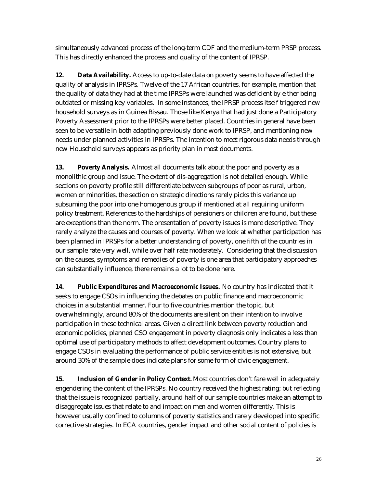simultaneously advanced process of the long-term CDF and the medium-term PRSP process. This has directly enhanced the process and quality of the content of IPRSP.

**12. Data Availability.** Access to up-to-date data on poverty seems to have affected the quality of analysis in IPRSPs. Twelve of the 17 African countries, for example, mention that the quality of data they had at the time IPRSPs were launched was deficient by either being outdated or missing key variables. In some instances, the IPRSP process itself triggered new household surveys as in Guinea Bissau. Those like Kenya that had just done a Participatory Poverty Assessment prior to the IPRSPs were better placed. Countries in general have been seen to be versatile in both adapting previously done work to IPRSP, and mentioning new needs under planned activities in IPRSPs. The intention to meet rigorous data needs through new Household surveys appears as priority plan in most documents.

**13. Poverty Analysis.** Almost all documents talk about the poor and poverty as a monolithic group and issue. The extent of dis-aggregation is not detailed enough. While sections on poverty profile still differentiate between subgroups of poor as rural, urban, women or minorities, the section on strategic directions rarely picks this variance up subsuming the poor into one homogenous group if mentioned at all requiring uniform policy treatment. References to the hardships of pensioners or children are found, but these are exceptions than the norm. The presentation of poverty issues is more descriptive. They rarely analyze the causes and courses of poverty. When we look at whether participation has been planned in IPRSPs for a better understanding of poverty, one fifth of the countries in our sample rate very well, while over half rate moderately. Considering that the discussion on the causes, symptoms and remedies of poverty is one area that participatory approaches can substantially influence, there remains a lot to be done here.

**14. Public Expenditures and Macroeconomic Issues.** No country has indicated that it seeks to engage CSOs in influencing the debates on public finance and macroeconomic choices in a substantial manner. Four to five countries mention the topic, but overwhelmingly, around 80% of the documents are silent on their intention to involve participation in these technical areas. Given a direct link between poverty reduction and economic policies, planned CSO engagement in poverty diagnosis only indicates a less than optimal use of participatory methods to affect development outcomes. Country plans to engage CSOs in evaluating the performance of public service entities is not extensive, but around 30% of the sample does indicate plans for some form of civic engagement.

**15. Inclusion of Gender in Policy Context.** Most countries don't fare well in adequately engendering the content of the IPRSPs. No country received the highest rating; but reflecting that the issue is recognized partially, around half of our sample countries make an attempt to disaggregate issues that relate to and impact on men and women differently. This is however usually confined to columns of poverty statistics and rarely developed into specific corrective strategies. In ECA countries, gender impact and other social content of policies is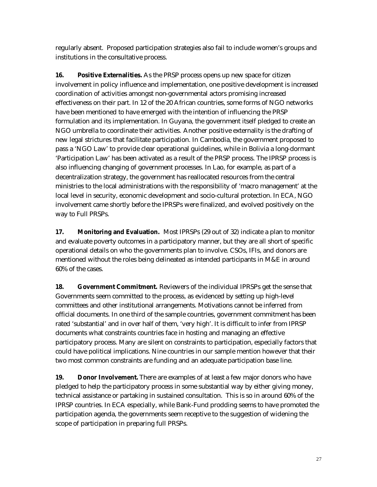regularly absent. Proposed participation strategies also fail to include women's groups and institutions in the consultative process.

**16. Positive Externalities.** As the PRSP process opens up new space for citizen involvement in policy influence and implementation, one positive development is increased coordination of activities amongst non-governmental actors promising increased effectiveness on their part. In 12 of the 20 African countries, some forms of NGO networks have been mentioned to have emerged with the intention of influencing the PRSP formulation and its implementation. In Guyana, the government itself pledged to create an NGO umbrella to coordinate their activities. Another positive externality is the drafting of new legal strictures that facilitate participation. In Cambodia, the government proposed to pass a 'NGO Law' to provide clear operational guidelines, while in Bolivia a long-dormant 'Participation Law' has been activated as a result of the PRSP process. The IPRSP process is also influencing changing of government processes. In Lao, for example, as part of a decentralization strategy, the government has reallocated resources from the central ministries to the local administrations with the responsibility of 'macro management' at the local level in security, economic development and socio-cultural protection. In ECA, NGO involvement came shortly before the IPRSPs were finalized, and evolved positively on the way to Full PRSPs.

**17. Monitoring and Evaluation.** Most IPRSPs (29 out of 32) indicate a plan to monitor and evaluate poverty outcomes in a participatory manner, but they are all short of specific operational details on who the governments plan to involve. CSOs, IFIs, and donors are mentioned without the roles being delineated as intended participants in M&E in around 60% of the cases.

**18. Government Commitment.** Reviewers of the individual IPRSPs get the sense that Governments seem committed to the process, as evidenced by setting up high-level committees and other institutional arrangements. Motivations cannot be inferred from official documents. In one third of the sample countries, government commitment has been rated 'substantial' and in over half of them, 'very high'. It is difficult to infer from IPRSP documents what constraints countries face in hosting and managing an effective participatory process. Many are silent on constraints to participation, especially factors that could have political implications. Nine countries in our sample mention however that their two most common constraints are funding and an adequate participation base line.

**19. Donor Involvement.** There are examples of at least a few major donors who have pledged to help the participatory process in some substantial way by either giving money, technical assistance or partaking in sustained consultation. This is so in around 60% of the IPRSP countries. In ECA especially, while Bank-Fund prodding seems to have promoted the participation agenda, the governments seem receptive to the suggestion of widening the scope of participation in preparing full PRSPs.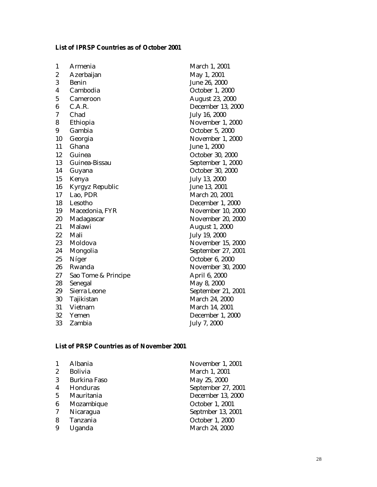### **List of IPRSP Countries as of October 2001**

| 1                | Armenia             | March 1, 2001          |
|------------------|---------------------|------------------------|
| $\boldsymbol{2}$ | Azerbaijan          | May 1, 2001            |
| 3                | Benin               | June 26, 2000          |
| 4                | Cambodia            | October 1, 2000        |
| $\overline{5}$   | Cameroon            | <b>August 23, 2000</b> |
| 6                | C.A.R.              | December 13, 2000      |
| 7                | Chad                | July 16, 2000          |
| 8                | Ethiopia            | November 1, 2000       |
| 9                | Gambia              | October 5, 2000        |
| 10               | Georgia             | November 1, 2000       |
| 11               | Ghana               | June 1, 2000           |
| 12               | Guinea              | October 30, 2000       |
| 13               | Guinea-Bissau       | September 1, 2000      |
| 14               | Guyana              | October 30, 2000       |
| 15               | Kenya               | July 13, 2000          |
| 16               | Kyrgyz Republic     | June 13, 2001          |
| 17               | Lao, PDR            | March 20, 2001         |
| 18               | Lesotho             | December 1, 2000       |
| 19               | Macedonia, FYR      | November 10, 2000      |
| 20               | Madagascar          | November 20, 2000      |
| 21               | Malawi              | <b>August 1, 2000</b>  |
| 22               | Mali                | July 19, 2000          |
| 23               | Moldova             | November 15, 2000      |
| 24               | Mongolia            | September 27, 2001     |
| 25               | Níger               | October 6, 2000        |
| 26               | Rwanda              | November 30, 2000      |
| 27               | Sao Tome & Principe | April 6, 2000          |
| 28               | Senegal             | May 8, 2000            |
| 29               | Sierra Leone        | September 21, 2001     |
| 30               | Tajikistan          | March 24, 2000         |
| 31               | Vietnam             | March 14, 2001         |
| 32               | Yemen               | December 1, 2000       |
| 33               | Zambia              | July 7, 2000           |

### **List of PRSP Countries as of November 2001**

| 1                | Albania             | November 1, 2001   |
|------------------|---------------------|--------------------|
| $\boldsymbol{2}$ | <b>Bolivia</b>      | March 1, 2001      |
| 3                | <b>Burkina Faso</b> | May 25, 2000       |
| 4                | Honduras            | September 27, 2001 |
| $5\overline{)}$  | Mauritania          | December 13, 2000  |
| 6                | Mozambique          | October 1, 2001    |
| 7                | Nicaragua           | Septmber 13, 2001  |
| 8                | Tanzania            | October 1, 2000    |
| 9                | Uganda              | March 24, 2000     |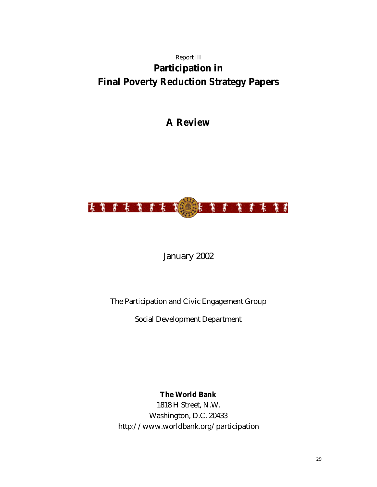# Report III **Participation in Final Poverty Reduction Strategy Papers**

# **A Review**



January 2002

The Participation and Civic Engagement Group

Social Development Department

**The World Bank**

1818 H Street, N.W. Washington, D.C. 20433 http://www.worldbank.org/participation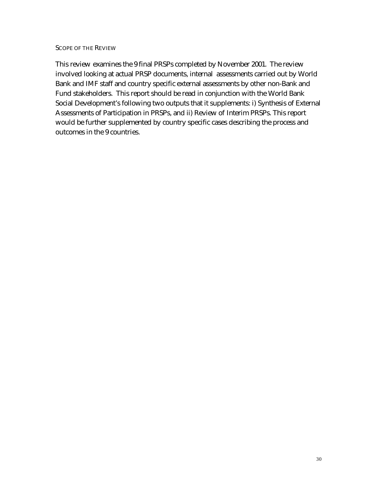#### SCOPE OF THE REVIEW

This review examines the 9 final PRSPs completed by November 2001. The review involved looking at actual PRSP documents, internal assessments carried out by World Bank and IMF staff and country specific external assessments by other non-Bank and Fund stakeholders. This report should be read in conjunction with the World Bank Social Development's following two outputs that it supplements: i) Synthesis of External Assessments of Participation in PRSPs, and ii) Review of Interim PRSPs. This report would be further supplemented by country specific cases describing the process and outcomes in the 9 countries.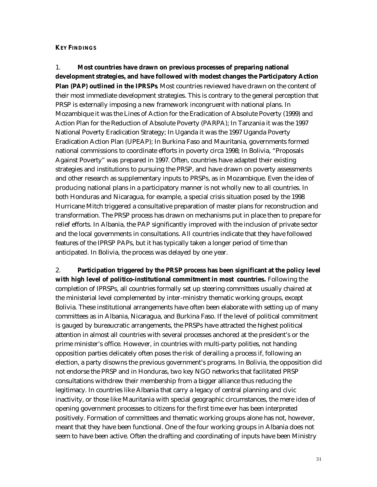#### **KEY FINDINGS**

1. **Most countries have drawn on previous processes of preparing national development strategies, and have followed with modest changes the Participatory Action Plan (PAP) outlined in the IPRSPs**. Most countries reviewed have drawn on the content of their most immediate development strategies. This is contrary to the general perception that PRSP is externally imposing a new framework incongruent with national plans. In Mozambique it was the Lines of Action for the Eradication of Absolute Poverty (1999) and Action Plan for the Reduction of Absolute Poverty (PARPA); In Tanzania it was the 1997 National Poverty Eradication Strategy; In Uganda it was the 1997 Uganda Poverty Eradication Action Plan (UPEAP); In Burkina Faso and Mauritania, governments formed national commissions to coordinate efforts in poverty circa 1998; In Bolivia, "Proposals Against Poverty" was prepared in 1997. Often, countries have adapted their existing strategies and institutions to pursuing the PRSP, and have drawn on poverty assessments and other research as supplementary inputs to PRSPs, as in Mozambique. Even the idea of producing national plans in a participatory manner is not wholly new to all countries. In both Honduras and Nicaragua, for example, a special crisis situation posed by the 1998 Hurricane Mitch triggered a consultative preparation of master plans for reconstruction and transformation. The PRSP process has drawn on mechanisms put in place then to prepare for relief efforts. In Albania, the PAP significantly improved with the inclusion of private sector and the local governments in consultations. All countries indicate that they have followed features of the IPRSP PAPs, but it has typically taken a longer period of time than anticipated. In Bolivia, the process was delayed by one year.

2. **Participation triggered by the PRSP process has been significant at the policy level with high level of politico-institutional commitment in most countries.** Following the completion of IPRSPs, all countries formally set up steering committees usually chaired at the ministerial level complemented by inter-ministry thematic working groups, except Bolivia. These institutional arrangements have often been elaborate with setting up of many committees as in Albania, Nicaragua, and Burkina Faso. If the level of political commitment is gauged by bureaucratic arrangements, the PRSPs have attracted the highest political attention in almost all countries with several processes anchored at the president's or the prime minister's office. However, in countries with multi-party polities, not handing opposition parties delicately often poses the risk of derailing a process if, following an election, a party disowns the previous government's programs. In Bolivia, the opposition did not endorse the PRSP and in Honduras, two key NGO networks that facilitated PRSP consultations withdrew their membership from a bigger alliance thus reducing the legitimacy. In countries like Albania that carry a legacy of central planning and civic inactivity, or those like Mauritania with special geographic circumstances, the mere idea of opening government processes to citizens for the first time ever has been interpreted positively. Formation of committees and thematic working groups alone has not, however, meant that they have been functional. One of the four working groups in Albania does not seem to have been active. Often the drafting and coordinating of inputs have been Ministry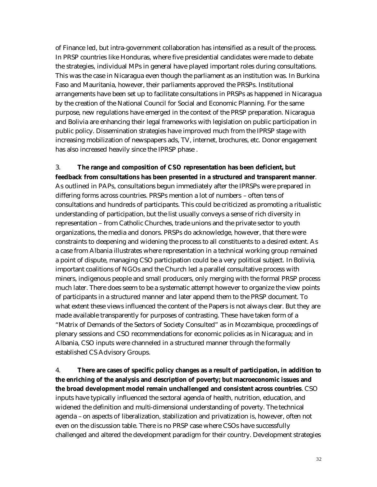of Finance led, but intra-government collaboration has intensified as a result of the process. In PRSP countries like Honduras, where five presidential candidates were made to debate the strategies, individual MPs in general have played important roles during consultations. This was the case in Nicaragua even though the parliament as an institution was. In Burkina Faso and Mauritania, however, their parliaments approved the PRSPs. Institutional arrangements have been set up to facilitate consultations in PRSPs as happened in Nicaragua by the creation of the National Council for Social and Economic Planning. For the same purpose, new regulations have emerged in the context of the PRSP preparation. Nicaragua and Bolivia are enhancing their legal frameworks with legislation on public participation in public policy. Dissemination strategies have improved much from the IPRSP stage with increasing mobilization of newspapers ads, TV, internet, brochures, etc. Donor engagement has also increased heavily since the IPRSP phase .

### 3. **The range and composition of CSO representation has been deficient, but feedback from consultations has been presented in a structured and transparent manner**.

As outlined in PAPs, consultations begun immediately after the IPRSPs were prepared in differing forms across countries. PRSPs mention a lot of numbers – often tens of consultations and hundreds of participants. This could be criticized as promoting a ritualistic understanding of participation, but the list usually conveys a sense of rich diversity in representation – from Catholic Churches, trade unions and the private sector to youth organizations, the media and donors. PRSPs do acknowledge, however, that there were constraints to deepening and widening the process to all constituents to a desired extent. As a case from Albania illustrates where representation in a technical working group remained a point of dispute, managing CSO participation could be a very political subject. In Bolivia, important coalitions of NGOs and the Church led a parallel consultative process with miners, indigenous people and small producers, only merging with the formal PRSP process much later. There does seem to be a systematic attempt however to organize the view points of participants in a structured manner and later append them to the PRSP document. To what extent these views influenced the content of the Papers is not always clear. But they are made available transparently for purposes of contrasting. These have taken form of a "Matrix of Demands of the Sectors of Society Consulted" as in Mozambique, proceedings of plenary sessions and CSO recommendations for economic policies as in Nicaragua; and in Albania, CSO inputs were channeled in a structured manner through the formally established CS Advisory Groups.

4. **There are cases of specific policy changes as a result of participation, in addition to the enriching of the analysis and description of poverty; but macroeconomic issues and the broad development model remain unchallenged and consistent across countries**. CSO inputs have typically influenced the sectoral agenda of health, nutrition, education, and widened the definition and multi-dimensional understanding of poverty. The technical agenda – on aspects of liberalization, stabilization and privatization is, however, often not even on the discussion table. There is no PRSP case where CSOs have successfully challenged and altered the development paradigm for their country. Development strategies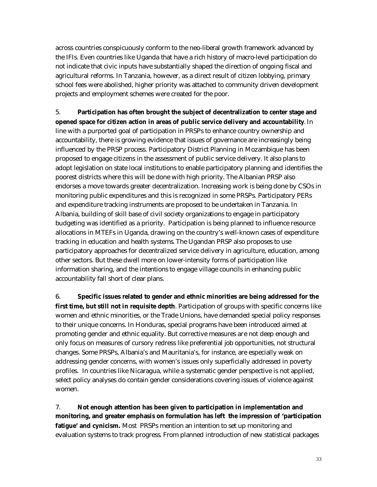across countries conspicuously conform to the neo-liberal growth framework advanced by the IFIs. Even countries like Uganda that have a rich history of macro-level participation do not indicate that civic inputs have substantially shaped the direction of ongoing fiscal and agricultural reforms. In Tanzania, however, as a direct result of citizen lobbying, primary school fees were abolished, higher priority was attached to community driven development projects and employment schemes were created for the poor.

5. **Participation has often brought the subject of decentralization to center stage and opened space for citizen action in areas of public service delivery and accountability**. In line with a purported goal of participation in PRSPs to enhance country ownership and accountability, there is growing evidence that issues of governance are increasingly being influenced by the PRSP process. Participatory District Planning in Mozambique has been proposed to engage citizens in the assessment of public service delivery. It also plans to adopt legislation on state local institutions to enable participatory planning and identifies the poorest districts where this will be done with high priority. The Albanian PRSP also endorses a move towards greater decentralization. Increasing work is being done by CSOs in monitoring public expenditures and this is recognized in some PRSPs. Participatory PERs and expenditure tracking instruments are proposed to be undertaken in Tanzania. In Albania, building of skill base of civil society organizations to engage in participatory budgeting was identified as a priority. Participation is being planned to influence resource allocations in MTEFs in Uganda, drawing on the country's well-known cases of expenditure tracking in education and health systems. The Ugandan PRSP also proposes to use participatory approaches for decentralized service delivery in agriculture, education, among other sectors. But these dwell more on lower-intensity forms of participation like information sharing, and the intentions to engage village councils in enhancing public accountability fall short of clear plans.

6. **Specific issues related to gender and ethnic minorities are being addressed for the first time, but still not in requisite depth**. Participation of groups with specific concerns like women and ethnic minorities, or the Trade Unions, have demanded special policy responses to their unique concerns. In Honduras, special programs have been introduced aimed at promoting gender and ethnic equality. But corrective measures are not deep enough and only focus on measures of cursory redress like preferential job opportunities, not structural changes. Some PRSPs, Albania's and Mauritania's, for instance, are especially weak on addressing gender concerns, with women's issues only superficially addressed in poverty profiles. In countries like Nicaragua, while a systematic gender perspective is not applied, select policy analyses do contain gender considerations covering issues of violence against women.

7. **Not enough attention has been given to participation in implementation and monitoring, and greater emphasis on formulation has left the impression of 'participation**  fatigue' and cynicism. Most PRSPs mention an intention to set up monitoring and evaluation systems to track progress. From planned introduction of new statistical packages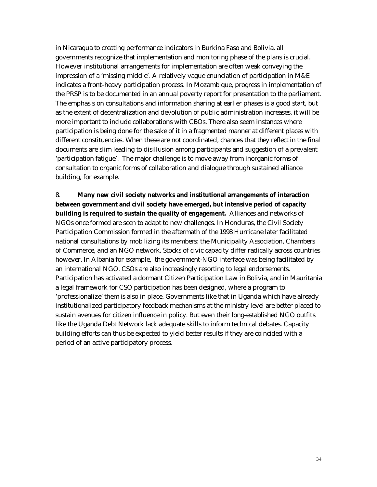in Nicaragua to creating performance indicators in Burkina Faso and Bolivia, all governments recognize that implementation and monitoring phase of the plans is crucial. However institutional arrangements for implementation are often weak conveying the impression of a 'missing middle'. A relatively vague enunciation of participation in M&E indicates a front-heavy participation process. In Mozambique, progress in implementation of the PRSP is to be documented in an annual poverty report for presentation to the parliament. The emphasis on consultations and information sharing at earlier phases is a good start, but as the extent of decentralization and devolution of public administration increases, it will be more important to include collaborations with CBOs. There also seem instances where participation is being done for the sake of it in a fragmented manner at different places with different constituencies. When these are not coordinated, chances that they reflect in the final documents are slim leading to disillusion among participants and suggestion of a prevalent 'participation fatigue'. The major challenge is to move away from inorganic forms of consultation to organic forms of collaboration and dialogue through sustained alliance building, for example.

8. **Many new civil society networks and institutional arrangements of interaction between government and civil society have emerged, but intensive period of capacity building is required to sustain the quality of engagement.** Alliances and networks of NGOs once formed are seen to adapt to new challenges. In Honduras, the Civil Society Participation Commission formed in the aftermath of the 1998 Hurricane later facilitated national consultations by mobilizing its members: the Municipality Association, Chambers of Commerce, and an NGO network. Stocks of civic capacity differ radically across countries however. In Albania for example, the government-NGO interface was being facilitated by an international NGO. CSOs are also increasingly resorting to legal endorsements. Participation has activated a dormant Citizen Participation Law in Bolivia, and in Mauritania a legal framework for CSO participation has been designed, where a program to 'professionalize' them is also in place. Governments like that in Uganda which have already institutionalized participatory feedback mechanisms at the ministry level are better placed to sustain avenues for citizen influence in policy. But even their long-established NGO outfits like the Uganda Debt Network lack adequate skills to inform technical debates. Capacity building efforts can thus be expected to yield better results if they are coincided with a period of an active participatory process.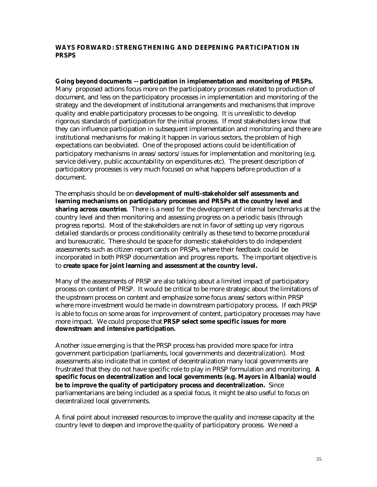#### **WAYS FORWARD: STRENGTHENING AND DEEPENING PARTICIPATION IN PRSPS**

**Going beyond documents -- participation in implementation and monitoring of PRSPs.** Many proposed actions focus more on the participatory processes related to production of document, and less on the participatory processes in implementation and monitoring of the strategy and the development of institutional arrangements and mechanisms that improve quality and enable participatory processes to be ongoing. It is unrealistic to develop rigorous standards of participation for the initial process. If most stakeholders know that they can influence participation in subsequent implementation and monitoring and there are institutional mechanisms for making it happen in various sectors, the problem of high expectations can be obviated. One of the proposed actions could be identification of participatory mechanisms in areas/sectors/issues for implementation and monitoring (e.g. service delivery, public accountability on expenditures etc). The present description of participatory processes is very much focused on what happens before production of a document.

The emphasis should be on **development of multi-stakeholder self assessments and learning mechanisms on participatory processes and PRSPs at the country level and sharing across countries**. There is a need for the development of internal benchmarks at the country level and then monitoring and assessing progress on a periodic basis (through progress reports). Most of the stakeholders are not in favor of setting up very rigorous detailed standards or process conditionality centrally as these tend to become procedural and bureaucratic. There should be space for domestic stakeholders to do independent assessments such as citizen report cards on PRSPs, where their feedback could be incorporated in both PRSP documentation and progress reports. The important objective is to **create space for joint learning and assessment at the country level.**

Many of the assessments of PRSP are also talking about a limited impact of participatory process on content of PRSP. It would be critical to be more strategic about the limitations of the upstream process on content and emphasize some focus areas/sectors within PRSP where more investment would be made in downstream participatory process. If each PRSP is able to focus on some areas for improvement of content, participatory processes may have more impact. We could propose that **PRSP select some specific issues for more downstream and intensive participation.**

Another issue emerging is that the PRSP process has provided more space for intra government participation (parliaments, local governments and decentralization). Most assessments also indicate that in context of decentralization many local governments are frustrated that they do not have specific role to play in PRSP formulation and monitoring. **A specific focus on decentralization and local governments (e.g. Mayors in Albania) would be to improve the quality of participatory process and decentralization.** Since parliamentarians are being included as a special focus, it might be also useful to focus on decentralized local governments.

A final point about increased resources to improve the quality and increase capacity at the country level to deepen and improve the quality of participatory process. We need a